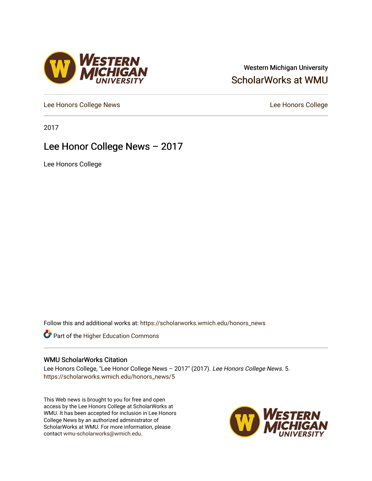#### Western Michigan University [ScholarWorks at WMU](https://scholarworks.wmich.edu/)

[Lee Honors College News](https://scholarworks.wmich.edu/honors_news) **Lee Honors College** 

2017

#### Lee Honor College News – 2017

**VESTERN<br>VICHIGAN** 

Lee Honors College

Follow this and additional works at: [https://scholarworks.wmich.edu/honors\\_news](https://scholarworks.wmich.edu/honors_news?utm_source=scholarworks.wmich.edu%2Fhonors_news%2F5&utm_medium=PDF&utm_campaign=PDFCoverPages)



#### WMU ScholarWorks Citation

Lee Honors College, "Lee Honor College News – 2017" (2017). Lee Honors College News. 5. [https://scholarworks.wmich.edu/honors\\_news/5](https://scholarworks.wmich.edu/honors_news/5?utm_source=scholarworks.wmich.edu%2Fhonors_news%2F5&utm_medium=PDF&utm_campaign=PDFCoverPages) 

This Web news is brought to you for free and open access by the Lee Honors College at ScholarWorks at WMU. It has been accepted for inclusion in Lee Honors College News by an authorized administrator of ScholarWorks at WMU. For more information, please contact [wmu-scholarworks@wmich.edu](mailto:wmu-scholarworks@wmich.edu).

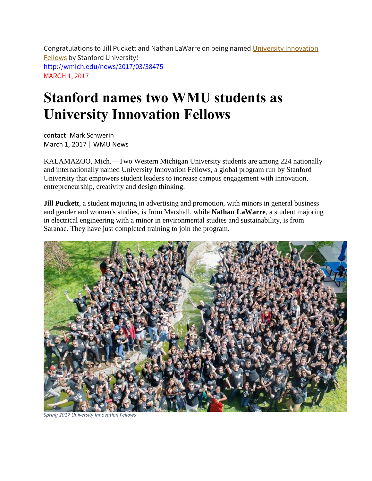Congratulations to Jill Puckett and Nathan LaWarre on being named University Innovation Fellows by Stanford University! <http://wmich.edu/news/2017/03/38475> MARCH 1, 2017

# **Stanford names two WMU students as University Innovation Fellows**

contact: Mark Schwerin March 1, 2017 | WMU News

KALAMAZOO, Mich.—Two Western Michigan University students are among 224 nationally and internationally named University Innovation Fellows, a global program run by Stanford University that empowers student leaders to increase campus engagement with innovation, entrepreneurship, creativity and design thinking.

**Jill Puckett**, a student majoring in advertising and promotion, with minors in general business and gender and women's studies, is from Marshall, while **Nathan LaWarre**, a student majoring in electrical engineering with a minor in environmental studies and sustainability, is from Saranac. They have just completed training to join the program.



*Spring 2017 University Innovation Fellows*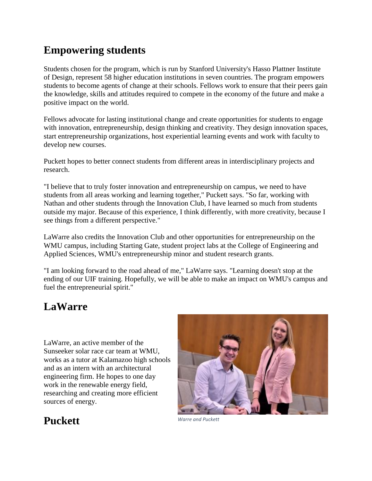# **Empowering students**

Students chosen for the program, which is run by Stanford University's Hasso Plattner Institute of Design, represent 58 higher education institutions in seven countries. The program empowers students to become agents of change at their schools. Fellows work to ensure that their peers gain the knowledge, skills and attitudes required to compete in the economy of the future and make a positive impact on the world.

Fellows advocate for lasting institutional change and create opportunities for students to engage with innovation, entrepreneurship, design thinking and creativity. They design innovation spaces, start entrepreneurship organizations, host experiential learning events and work with faculty to develop new courses.

Puckett hopes to better connect students from different areas in interdisciplinary projects and research.

"I believe that to truly foster innovation and entrepreneurship on campus, we need to have students from all areas working and learning together," Puckett says. "So far, working with Nathan and other students through the Innovation Club, I have learned so much from students outside my major. Because of this experience, I think differently, with more creativity, because I see things from a different perspective."

LaWarre also credits the Innovation Club and other opportunities for entrepreneurship on the WMU campus, including Starting Gate, student project labs at the College of Engineering and Applied Sciences, WMU's entrepreneurship minor and student research grants.

"I am looking forward to the road ahead of me," LaWarre says. "Learning doesn't stop at the ending of our UIF training. Hopefully, we will be able to make an impact on WMU's campus and fuel the entrepreneurial spirit."

### **LaWarre**

LaWarre, an active member of the Sunseeker solar race car team at WMU, works as a tutor at Kalamazoo high schools and as an intern with an architectural engineering firm. He hopes to one day work in the renewable energy field, researching and creating more efficient sources of energy.



# **Puckett** *Warre and Puckett*